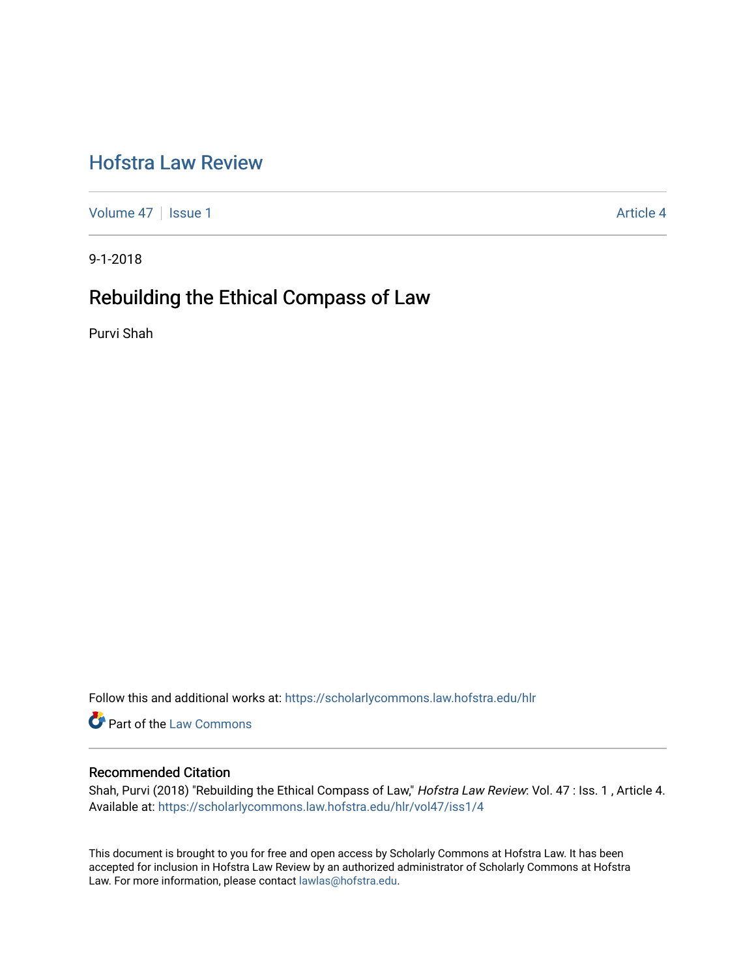# [Hofstra Law Review](https://scholarlycommons.law.hofstra.edu/hlr)

[Volume 47](https://scholarlycommons.law.hofstra.edu/hlr/vol47) | [Issue 1](https://scholarlycommons.law.hofstra.edu/hlr/vol47/iss1) Article 4

9-1-2018

## Rebuilding the Ethical Compass of Law

Purvi Shah

Follow this and additional works at: [https://scholarlycommons.law.hofstra.edu/hlr](https://scholarlycommons.law.hofstra.edu/hlr?utm_source=scholarlycommons.law.hofstra.edu%2Fhlr%2Fvol47%2Fiss1%2F4&utm_medium=PDF&utm_campaign=PDFCoverPages)

**Part of the [Law Commons](http://network.bepress.com/hgg/discipline/578?utm_source=scholarlycommons.law.hofstra.edu%2Fhlr%2Fvol47%2Fiss1%2F4&utm_medium=PDF&utm_campaign=PDFCoverPages)** 

### Recommended Citation

Shah, Purvi (2018) "Rebuilding the Ethical Compass of Law," Hofstra Law Review: Vol. 47 : Iss. 1, Article 4. Available at: [https://scholarlycommons.law.hofstra.edu/hlr/vol47/iss1/4](https://scholarlycommons.law.hofstra.edu/hlr/vol47/iss1/4?utm_source=scholarlycommons.law.hofstra.edu%2Fhlr%2Fvol47%2Fiss1%2F4&utm_medium=PDF&utm_campaign=PDFCoverPages)

This document is brought to you for free and open access by Scholarly Commons at Hofstra Law. It has been accepted for inclusion in Hofstra Law Review by an authorized administrator of Scholarly Commons at Hofstra Law. For more information, please contact [lawlas@hofstra.edu.](mailto:lawlas@hofstra.edu)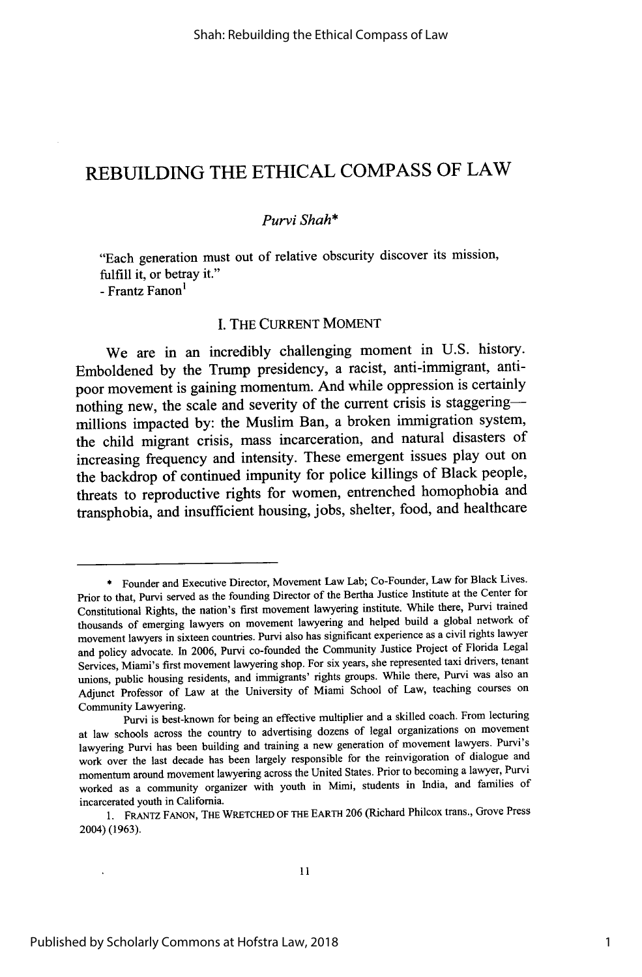## REBUILDING THE **ETHICAL COMPASS** OF LAW

### *Purvi Shah\**

"Each generation must out of relative obscurity discover its mission, fulfill it, or betray it." **-** Frantz Fanon<sup>1</sup>

### I. THE CURRENT MOMENT

We are in an incredibly challenging moment in **U.S.** history. Emboldened **by** the Trump presidency, a racist, anti-immigrant, antipoor movement is gaining momentum. And while oppression is certainly nothing new, the scale and severity of the current crisis is staggeringmillions impacted **by:** the Muslim Ban, a broken immigration system, the child migrant crisis, mass incarceration, and natural disasters of increasing frequency and intensity. These emergent issues play out on the backdrop of continued impunity for police killings of Black people, threats to reproductive rights for women, entrenched homophobia and transphobia, and insufficient housing, jobs, shelter, food, and healthcare

<sup>\*</sup> Founder and Executive Director, Movement Law Lab; Co-Founder, Law for Black Lives. Prior to that, Purvi served as the founding Director of the Bertha Justice Institute at the Center for Constitutional Rights, the nation's first movement lawyering institute. While there, Purvi trained thousands of emerging lawyers on movement lawyering and helped build a global network of movement lawyers in sixteen countries. Purvi also has significant experience as a civil rights lawyer and policy advocate. In 2006, Purvi co-founded the Community Justice Project of Florida Legal Services, Miami's first movement lawyering shop. For six years, she represented taxi drivers, tenant unions, public housing residents, and immigrants' rights groups. While there, Purvi was also an Adjunct Professor of Law at the University of Miami School of Law, teaching courses on Community Lawyering.

Purvi is best-known for being an effective multiplier and a skilled coach. From lecturing at law schools across the country to advertising dozens of legal organizations on movement lawyering Purvi has been building and training a new generation of movement lawyers. Purvi's work over the last decade has been largely responsible for the reinvigoration of dialogue and momentum around movement lawyering across the United States. Prior to becoming a lawyer, Purvi worked as a community organizer with youth in Mimi, students in India, and families of incarcerated youth in California.

<sup>1.</sup> FRANTZ FANON, THE WRETCHED OF THE EARTH 206 (Richard Philcox trans., Grove Press 2004) (1963).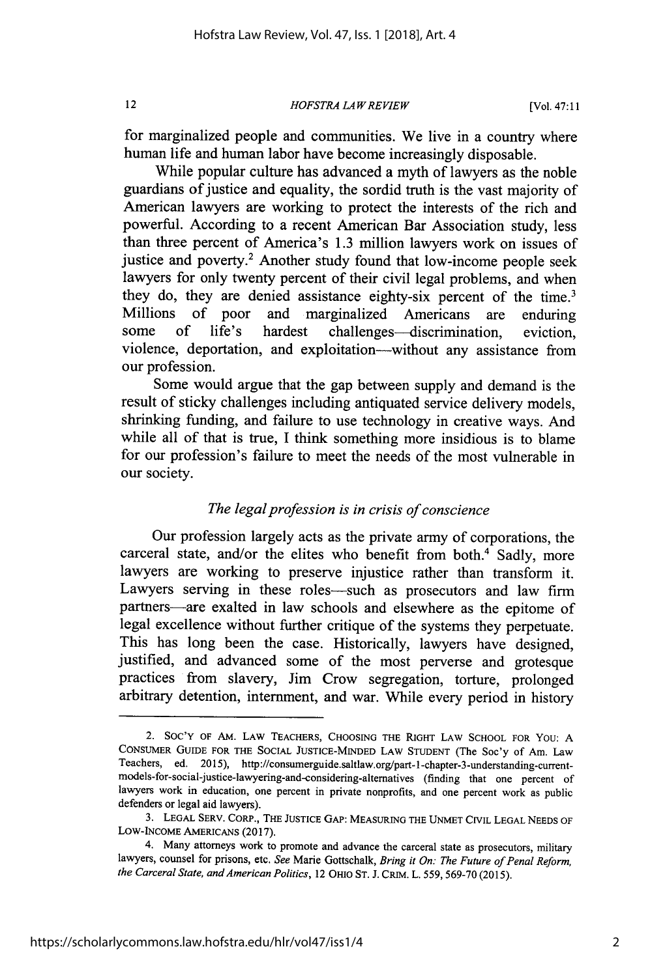*HOFSTRA LA W REVIEW*

for marginalized people and communities. We live in a country where human life and human labor have become increasingly disposable.

While popular culture has advanced a myth of lawyers as the noble guardians of justice and equality, the sordid truth is the vast majority of American lawyers are working to protect the interests of the rich and powerful. According to a recent American Bar Association study, less than three percent of America's 1.3 million lawyers work on issues of justice and poverty.<sup>2</sup> Another study found that low-income people seek lawyers for only twenty percent of their civil legal problems, and when they do, they are denied assistance eighty-six percent of the time.<sup>3</sup> Millions of poor and marginalized Americans are enduring some of life's hardest challenges—discrimination, eviction, violence, deportation, and exploitation-without any assistance from our profession.

Some would argue that the gap between supply and demand is the result of sticky challenges including antiquated service delivery models, shrinking funding, and failure to use technology in creative ways. And while all of that is true, I think something more insidious is to blame for our profession's failure to meet the needs of the most vulnerable in our society.

### *The legal profession is in crisis of conscience*

Our profession largely acts as the private army of corporations, the carceral state, and/or the elites who benefit from both. $4$  Sadly, more lawyers are working to preserve injustice rather than transform it. Lawyers serving in these roles-such as prosecutors and law firm partners-are exalted in law schools and elsewhere as the epitome of legal excellence without further critique of the systems they perpetuate. This has long been the case. Historically, lawyers have designed, justified, and advanced some of the most perverse and grotesque practices from slavery, Jim Crow segregation, torture, prolonged arbitrary detention, internment, and war. While every period in history

<sup>2.</sup> **SOC'Y** OF AM. LAW **TEACHERS, CHOOSING THE** RIGHT LAW **SCHOOL** FOR You: **A CONSUMER** GUIDE FOR THE **SOCIAL JUSTICE-MINDED** LAW **STUDENT** (The Soc'y of Am. Law Teachers, ed. 2015), http://consumerguide.saltlaw.org/part-l-chapter-3-understanding-currentmodels-for-social-justice-lawyering-and-considering-altematives (finding that one percent of lawyers work in education, one percent in private nonprofits, and one percent work as public defenders or legal aid lawyers).

<sup>3.</sup> **LEGAL** SERV. CORP., THE JUSTICE GAP: MEASURING THE **UNMET CIVIL LEGAL NEEDS** OF LOW-INCOME AMERICANS (2017).

<sup>4.</sup> Many attorneys work to promote and advance the carceral state as prosecutors, military lawyers, counsel for prisons, etc. *See* Marie Gottschalk, *Bring it On: The Future of Penal Reform, the Carceral State, and American Politics,* 12 OHIO ST. J. CRIM. L. 559, 569-70 (2015).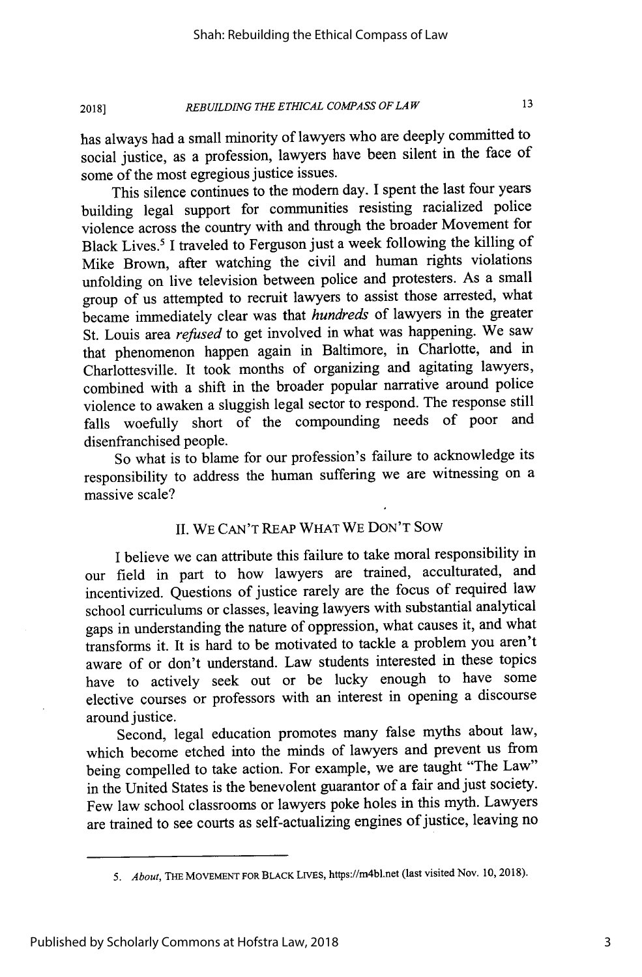#### *REBUILDING THE ETHICAL COMPASS OF LA W* **2018]**

has always had a small minority of lawyers who are deeply committed to social justice, as a profession, lawyers have been silent in the face of some of the most egregious justice issues.

This silence continues to the modem day. I spent the last four years building legal support for communities resisting racialized police violence across the country with and through the broader Movement for Black Lives.<sup>5</sup> I traveled to Ferguson just a week following the killing of Mike Brown, after watching the civil and human rights violations unfolding on live television between police and protesters. As a small group of us attempted to recruit lawyers to assist those arrested, what became immediately clear was that *hundreds* of lawyers in the greater St. Louis area *refused* to get involved in what was happening. We saw that phenomenon happen again in Baltimore, in Charlotte, and in Charlottesville. It took months of organizing and agitating lawyers, combined with a shift in the broader popular narrative around police violence to awaken a sluggish legal sector to respond. The response still falls woefully short of the compounding needs of poor and disenfranchised people.

So what is to blame for our profession's failure to acknowledge its responsibility to address the human suffering we are witnessing on a massive scale?

### II. WE CAN'T REAP WHAT WE DON'T SOW

I believe we can attribute this failure to take moral responsibility in our field in part to how lawyers are trained, acculturated, and incentivized. Questions of justice rarely are the focus of required law school curriculums or classes, leaving lawyers with substantial analytical gaps in understanding the nature of oppression, what causes it, and what transforms it. It is hard to be motivated to tackle a problem you aren't aware of or don't understand. Law students interested in these topics have to actively seek out or be lucky enough to have some elective courses or professors with an interest in opening a discourse around justice.

Second, legal education promotes many false myths about law, which become etched into the minds of lawyers and prevent us from being compelled to take action. For example, we are taught "The Law" in the United States is the benevolent guarantor of a fair and just society. Few law school classrooms or lawyers poke holes in this myth. Lawyers are trained to see courts as self-actualizing engines of justice, leaving no

*<sup>5.</sup> About, THE* **MOVEMENT** FOR BLACK LIVES, https://m4bl.net (last visited Nov. 10, 2018).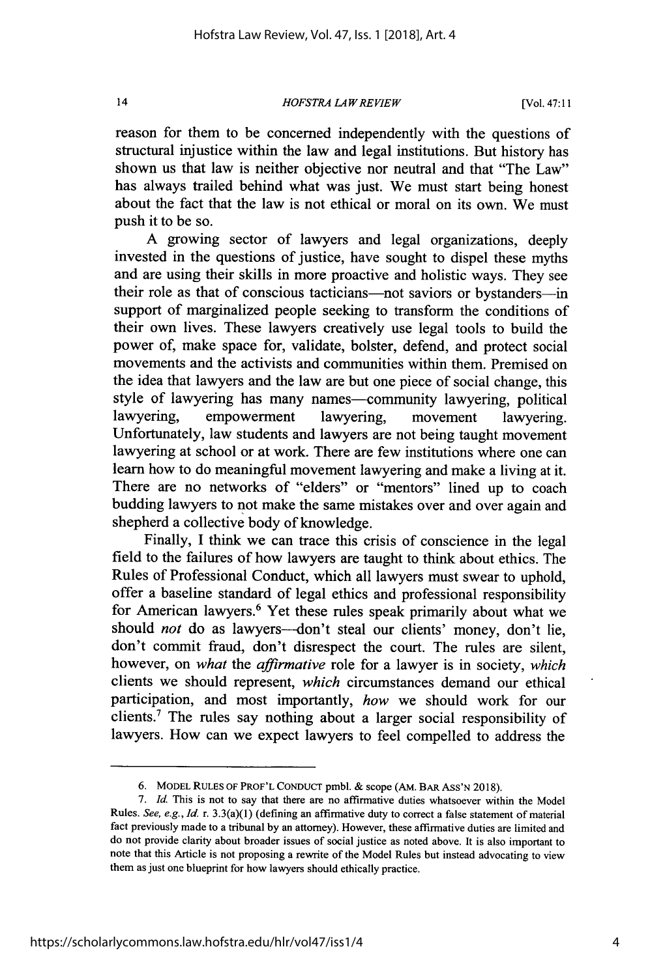*HOFSTRA LA W REVIEW*

reason for them to be concerned independently with the questions of structural injustice within the law and legal institutions. But history has shown us that law is neither objective nor neutral and that "The Law" has always trailed behind what was just. We must start being honest about the fact that the law is not ethical or moral on its own. We must push it to be so.

A growing sector of lawyers and legal organizations, deeply invested in the questions of justice, have sought to dispel these myths and are using their skills in more proactive and holistic ways. They see their role as that of conscious tacticians-not saviors or bystanders-in support of marginalized people seeking to transform the conditions of their own lives. These lawyers creatively use legal tools to build the power of, make space for, validate, bolster, defend, and protect social movements and the activists and communities within them. Premised on the idea that lawyers and the law are but one piece of social change, this style of lawyering has many names-community lawyering, political lawyering, empowerment lawyering, movement lawyering. Unfortunately, law students and lawyers are not being taught movement lawyering at school or at work. There are few institutions where one can learn how to do meaningful movement lawyering and make a living at it. There are no networks of "elders" or "mentors" lined up to coach budding lawyers to not make the same mistakes over and over again and shepherd a collective body of knowledge.

Finally, I think we can trace this crisis of conscience in the legal field to the failures of how lawyers are taught to think about ethics. The Rules of Professional Conduct, which all lawyers must swear to uphold, offer a baseline standard of legal ethics and professional responsibility for American lawyers.<sup>6</sup> Yet these rules speak primarily about what we should *not* do as lawyers-don't steal our clients' money, don't lie, don't commit fraud, don't disrespect the court. The rules are silent, however, on *what* the *affirmative* role for a lawyer is in society, *which* clients we should represent, *which* circumstances demand our ethical participation, and most importantly, *how* we should work for our clients.<sup>7</sup> The rules say nothing about a larger social responsibility of lawyers. How can we expect lawyers to feel compelled to address the

 $\overline{14}$ 

<sup>6.</sup> MODEL **RULES** OF PROF'L **CONDUCT** pmbl. & scope (AM. **BAR** ASS'N 2018).

*<sup>7.</sup> Id.* This is not to say that there are no affirmative duties whatsoever within the Model Rules. See, e.g., *Id.* r. 3.3(a)(1) (defining an affirmative duty to correct a false statement of material fact previously made to a tribunal by an attorney). However, these affirmative duties are limited and do not provide clarity about broader issues of social justice as noted above. It is also important to note that this Article is not proposing a rewrite of the Model Rules but instead advocating to view them as just one blueprint for how lawyers should ethically practice.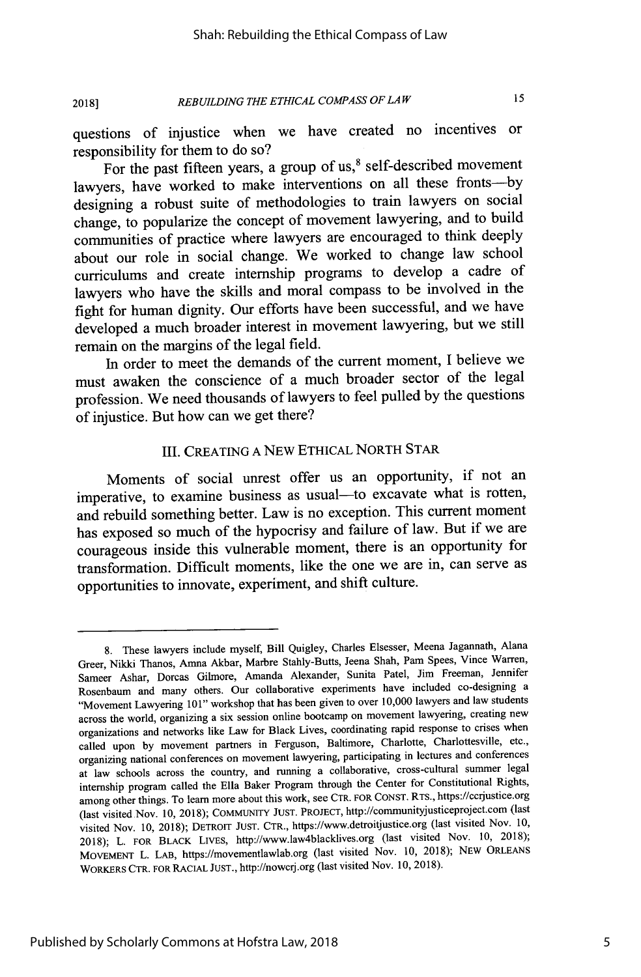*REBUILDING THE ETHICAL COMPASS OF LAW* **2018]**

 $15$ 

questions of injustice when we have created no incentives or responsibility for them to do so?

For the past fifteen years, a group of us, $8$  self-described movement lawyers, have worked to make interventions on all these fronts---by designing a robust suite of methodologies to train lawyers on social change, to popularize the concept of movement lawyering, and to build communities of practice where lawyers are encouraged to think deeply about our role in social change. We worked to change law school curriculums and create internship programs to develop a cadre of lawyers who have the skills and moral compass to be involved in the fight for human dignity. Our efforts have been successful, and we have developed a much broader interest in movement lawyering, but we still remain on the margins of the legal field.

In order to meet the demands of the current moment, I believe we must awaken the conscience of a much broader sector of the legal profession. We need thousands of lawyers to feel pulled by the questions of injustice. But how can we get there?

### III. CREATING A NEW ETHICAL NORTH STAR

Moments of social unrest offer us an opportunity, if not an imperative, to examine business as usual-to excavate what is rotten, and rebuild something better. Law is no exception. This current moment has exposed so much of the hypocrisy and failure of law. But if we are courageous inside this vulnerable moment, there is an opportunity for transformation. Difficult moments, like the one we are in, can serve as opportunities to innovate, experiment, and shift culture.

<sup>8.</sup> These lawyers include myself, Bill Quigley, Charles Elsesser, Meena Jagannath, Alana Greer, Nikki Thanos, Amna Akbar, Marbre Stahly-Butts, Jeena Shah, Pam Spees, Vince Warren, Sameer Ashar, Dorcas Gilmore, Amanda Alexander, Sunita Patel, Jim Freeman, Jennifer Rosenbaum and many others. Our collaborative experiments have included co-designing a "Movement Lawyering 101" workshop that has been given to over 10,000 lawyers and law students across the world, organizing a six session online bootcamp on movement lawyering, creating new organizations and networks like Law for Black Lives, coordinating rapid response to crises when called upon by movement partners in Ferguson, Baltimore, Charlotte, Charlottesville, etc., organizing national conferences on movement lawyering, participating in lectures and conferences at law schools across the country, and running a collaborative, cross-cultural summer legal internship program called the Ella Baker Program through the Center for Constitutional Rights, among other things. To learn more about this work, see CTR. FOR CONST. RTS., https://ccrjustice.org (last visited Nov. 10, 2018); COMMUNIY JUST. PROJECT, http://communityjusticeproject.com (last visited Nov. 10, 2018); DETROIT JUST. CTR., https://www.detroitjustice.org (last visited Nov. 10, 2018); L. FOR BLACK LIVES, http://www.law4blacklives.org (last visited Nov. 10, 2018); MOVEMENT L. LAB, https://movementlawlab.org (last visited Nov. 10, 2018); NEW ORLEANS WORKERS CTR. FOR RACIAL JUST., http://nowcrj.org (last visited Nov. 10, 2018).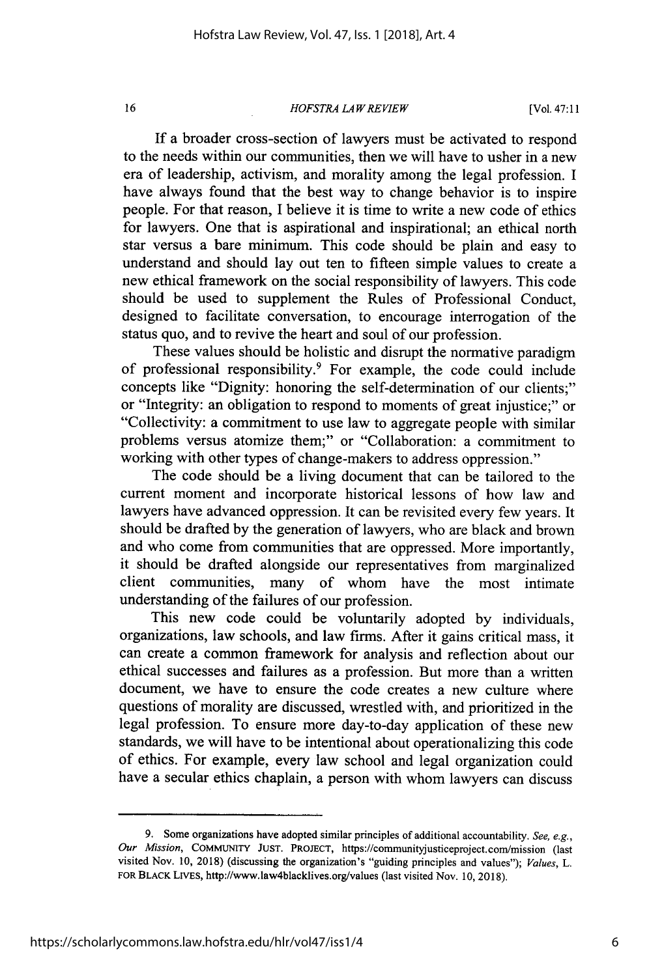*HOFSTRA LA W REVIEW*

[Vol. 47:11

If a broader cross-section of lawyers must be activated to respond to the needs within our communities, then we will have to usher in a new era of leadership, activism, and morality among the legal profession. I have always found that the best way to change behavior is to inspire people. For that reason, I believe it is time to write a new code of ethics for lawyers. One that is aspirational and inspirational; an ethical north star versus a bare minimum. This code should be plain and easy to understand and should lay out ten to fifteen simple values to create a new ethical framework on the social responsibility of lawyers. This code should be used to supplement the Rules of Professional Conduct, designed to facilitate conversation, to encourage interrogation of the status quo, and to revive the heart and soul of our profession.

These values should be holistic and disrupt the normative paradigm of professional responsibility.<sup>9</sup> For example, the code could include concepts like "Dignity: honoring the self-determination of our clients;" or "Integrity: an obligation to respond to moments of great injustice;" or "Collectivity: a commitment to use law to aggregate people with similar problems versus atomize them;" or "Collaboration: a commitment to working with other types of change-makers to address oppression."

The code should be a living document that can be tailored to the current moment and incorporate historical lessons of how law and lawyers have advanced oppression. It can be revisited every few years. It should be drafted by the generation of lawyers, who are black and brown and who come from communities that are oppressed. More importantly, it should be drafted alongside our representatives from marginalized client communities, many of whom have the most intimate understanding of the failures of our profession.

This new code could be voluntarily adopted by individuals, organizations, law schools, and law firms. After it gains critical mass, it can create a common framework for analysis and reflection about our ethical successes and failures as a profession. But more than a written document, we have to ensure the code creates a new culture where questions of morality are discussed, wrestled with, and prioritized in the legal profession. To ensure more day-to-day application of these new standards, we will have to be intentional about operationalizing this code of ethics. For example, every law school and legal organization could have a secular ethics chaplain, a person with whom lawyers can discuss

<sup>9.</sup> Some organizations have adopted similar principles of additional accountability. See, e.g., *Our Mission,* COMMUNTY **JUST. PROJECT,** https://communityjusticeproject.com/mission (last visited Nov. 10, 2018) (discussing the organization's "guiding principles and values"); *Values, L.* FOR BLACK LivEs, http://www.law4blacklives.org/values (last visited Nov. 10, 2018).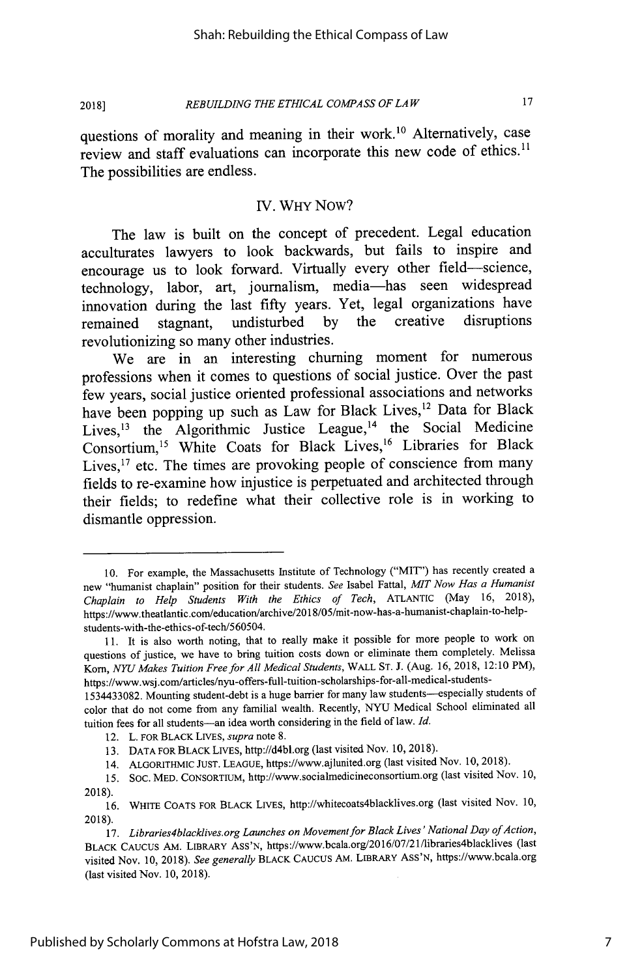*REBUILDING THE ETHICAL COMPASS OF LAW* **2018]**

questions of morality and meaning in their work.<sup>10</sup> Alternatively, case review and staff evaluations can incorporate this new code of ethics.<sup>11</sup> The possibilities are endless.

### IV. WHY Now?

The law is built on the concept of precedent. Legal education acculturates lawyers to look backwards, but fails to inspire and encourage us to look forward. Virtually every other field-science, technology, labor, art, journalism, media-has seen widespread innovation during the last fifty years. Yet, legal organizations have<br>remained stagnant undisturbed by the creative disruptions remained stagnant, undisturbed by the creative revolutionizing so many other industries.

We are in an interesting churning moment for numerous professions when it comes to questions of social justice. Over the past few years, social justice oriented professional associations and networks have been popping up such as Law for Black Lives,<sup>12</sup> Data for Black Lives,  $13$  the Algorithmic Justice League,  $14$  the Social Medicine Consortium,<sup>15</sup> White Coats for Black Lives,<sup>16</sup> Libraries for Black Lives, $17$  etc. The times are provoking people of conscience from many fields to re-examine how injustice is perpetuated and architected through their fields; to redefine what their collective role is in working to dismantle oppression.

<sup>10.</sup> For example, the Massachusetts Institute of Technology ("MIT') has recently created a new "humanist chaplain" position for their students. *See* Isabel Fattal, *MIT Now Has a Humanist Chaplain to Help Students With the Ethics of Tech,* ATLANTIC (May 16, 2018), https://www.theatlantic.com/education/archive/2018/05/mit-now-has-a-humanist-chaplain-to-help students-with-the-ethics-of-tech/560504.

<sup>11.</sup> It is also worth noting, that to really make it possible for more people to work on questions of justice, we have to bring tuition costs down or eliminate them completely. Melissa Kom, *NYU Makes Tuition Freefor All Medical Students,* WALL ST. J. (Aug. 16, 2018, 12:10 PM), https://www.wsj .com/articles/nyu-offers-full-tuition-scholarships-for-all-medical-students-

<sup>1534433082.</sup> Mounting student-debt is a huge barrier for many law students-especially students of color that do not come from any familial wealth. Recently, NYU Medical School eliminated all tuition fees for all students-an idea worth considering in the field of law. Id.

<sup>12.</sup> L. FOR BLACK LIVES, *supra* note 8.

<sup>13.</sup> DATA FOR BLACK LIvES, http://d4bl.org (last visited Nov. 10, 2018).

<sup>14.</sup> ALGORITHMIC JUST. LEAGUE, https://www.ajlunited.org (last visited Nov. 10, 2018).

*<sup>15.</sup>* SOC. MED. CONSORTIUM, http://www.socialmedicineconsortium.org (last visited Nov. 10, 2018).

<sup>16.</sup> WHITE COATS FOR BLACK LIVES, http://whitecoats4blacklives.org (last visited Nov. 10, 2018).

<sup>17.</sup> *Libraries4blacklives.org Launches on Movement for Black Lives' National Day of Action,* BLACK CAUCUS AM. LIBRARY ASS'N, https://www.bcala.org/2016/07/21/libraries4blacklives (last visited Nov. 10, 2018). *See generally* BLACK CAUCUS AM. LIBRARY ASS'N, https://www.bcala.org (last visited Nov. 10, 2018).